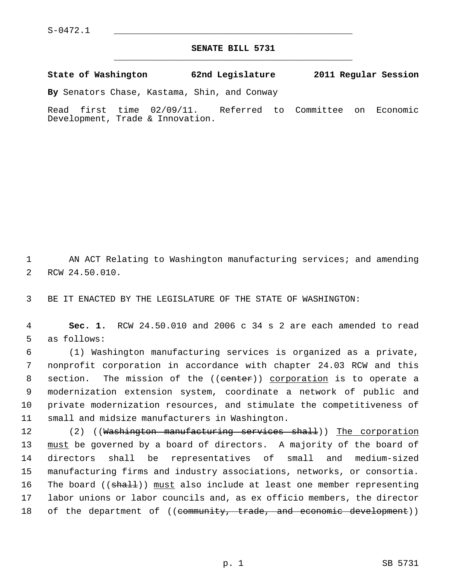## **SENATE BILL 5731** \_\_\_\_\_\_\_\_\_\_\_\_\_\_\_\_\_\_\_\_\_\_\_\_\_\_\_\_\_\_\_\_\_\_\_\_\_\_\_\_\_\_\_\_\_

**State of Washington 62nd Legislature 2011 Regular Session**

**By** Senators Chase, Kastama, Shin, and Conway

Read first time 02/09/11. Referred to Committee on Economic Development, Trade & Innovation.

 1 AN ACT Relating to Washington manufacturing services; and amending 2 RCW 24.50.010.

3 BE IT ENACTED BY THE LEGISLATURE OF THE STATE OF WASHINGTON:

 4 **Sec. 1.** RCW 24.50.010 and 2006 c 34 s 2 are each amended to read 5 as follows:

 6 (1) Washington manufacturing services is organized as a private, 7 nonprofit corporation in accordance with chapter 24.03 RCW and this 8 section. The mission of the ((eenter)) corporation is to operate a 9 modernization extension system, coordinate a network of public and 10 private modernization resources, and stimulate the competitiveness of 11 small and midsize manufacturers in Washington.

12 (2) ((Washington manufacturing services shall)) The corporation 13 must be governed by a board of directors. A majority of the board of 14 directors shall be representatives of small and medium-sized 15 manufacturing firms and industry associations, networks, or consortia. 16 The board ((shall)) must also include at least one member representing 17 labor unions or labor councils and, as ex officio members, the director 18 of the department of ((community, trade, and economic development))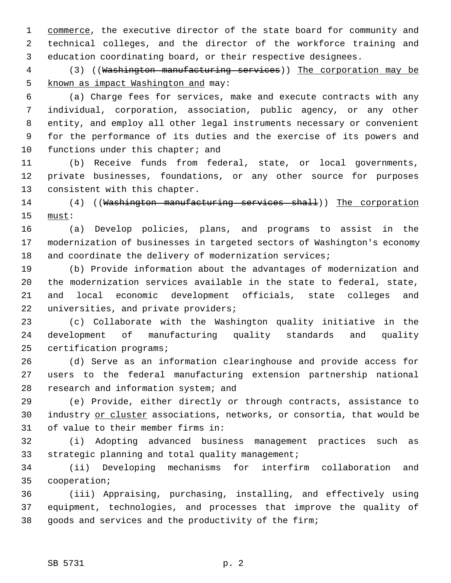1 commerce, the executive director of the state board for community and 2 technical colleges, and the director of the workforce training and 3 education coordinating board, or their respective designees.

4 (3) ((Washington manufacturing services)) The corporation may be 5 known as impact Washington and may:

 6 (a) Charge fees for services, make and execute contracts with any 7 individual, corporation, association, public agency, or any other 8 entity, and employ all other legal instruments necessary or convenient 9 for the performance of its duties and the exercise of its powers and 10 functions under this chapter; and

11 (b) Receive funds from federal, state, or local governments, 12 private businesses, foundations, or any other source for purposes 13 consistent with this chapter.

14 (4) ((Washington manufacturing services shall)) The corporation 15 must:

16 (a) Develop policies, plans, and programs to assist in the 17 modernization of businesses in targeted sectors of Washington's economy 18 and coordinate the delivery of modernization services;

19 (b) Provide information about the advantages of modernization and 20 the modernization services available in the state to federal, state, 21 and local economic development officials, state colleges and 22 universities, and private providers;

23 (c) Collaborate with the Washington quality initiative in the 24 development of manufacturing quality standards and quality 25 certification programs;

26 (d) Serve as an information clearinghouse and provide access for 27 users to the federal manufacturing extension partnership national 28 research and information system; and

29 (e) Provide, either directly or through contracts, assistance to 30 industry or cluster associations, networks, or consortia, that would be 31 of value to their member firms in:

32 (i) Adopting advanced business management practices such as 33 strategic planning and total quality management;

34 (ii) Developing mechanisms for interfirm collaboration and 35 cooperation;

36 (iii) Appraising, purchasing, installing, and effectively using 37 equipment, technologies, and processes that improve the quality of 38 goods and services and the productivity of the firm;